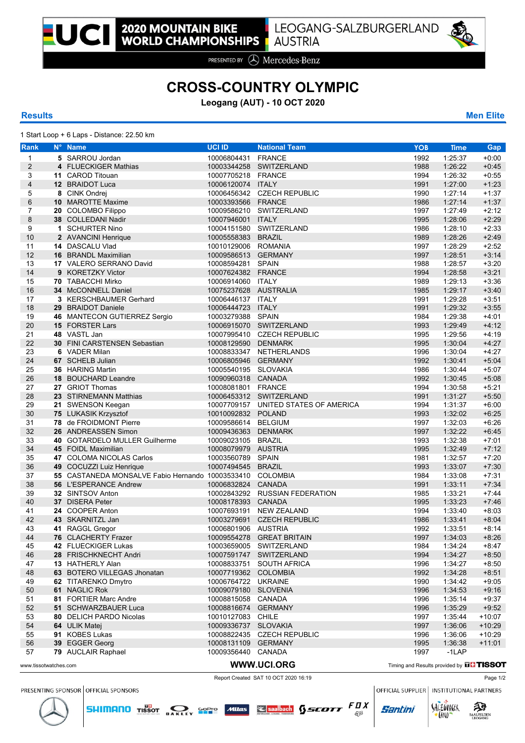

PRESENTED BY (A) Mercedes-Benz

## **CROSS-COUNTRY OLYMPIC**

**Leogang (AUT) - 10 OCT 2020**

1 Start Loop + 6 Laps - Distance: 22.50 km

**Rank N° Name UCI ID National Team YOB Time Gap 5** SARROU Jordan 10006804431 FRANCE 1992 1:25:37 +0:00 **4** FLUECKIGER Mathias 10003344258 SWITZERLAND 1988 1:26:22 +0:45 **11** CAROD Titouan 10007705218 FRANCE 1994 1:26:32 +0:55 **12** BRAIDOT Luca 10006120074 ITALY 1991 1:27:00 +1:23 **8** CINK Ondrej 10006456342 CZECH REPUBLIC 1990 1:27:14 +1:37 **10** MAROTTE Maxime 10003393566 FRANCE 1986 1:27:14 +1:37 **20** COLOMBO Filippo 10009586210 SWITZERLAND 1997 1:27:49 +2:12 8 38 COLLEDANI Nadir 10007946001 ITALY 1995 1:28:06 +2:28:06 +2:29:06 +2:29:06 +2:29:06 +2:29:06 +2:29:06 +2:29:06 +2:29:06 +2:29:06 +2:29:06 +2:29:06 +2:29:06 +2:29:06 +2:29:06 +2:29:06 +2:29:06 +2:29:06 +2:29:06 +2:29:06 **1** SCHURTER Nino 10004151580 SWITZERLAND 1986 1:28:10 +2:33 **2** AVANCINI Henrique 10005558383 BRAZIL 1989 1:28:26 +2:49 **14** DASCALU Vlad 10010129006 ROMANIA 1997 1:28:29 +2:52 **16** BRANDL Maximilian 10009586513 GERMANY 1997 1:28:51 +3:14 **17** VALERO SERRANO David 10008594281 SPAIN 1988 1:28:57 +3:20 **9** KORETZKY Victor 10007624382 FRANCE 1994 1:28:58 +3:21 **70** TABACCHI Mirko 10006914060 ITALY 1989 1:29:13 +3:36 **34** McCONNELL Daniel 10075237628 AUSTRALIA 1985 1:29:17 +3:40<br>17 3 KERSCHBAUMER Gerhard 10006446137 ITALY 1991 1:29:28 +3:51 **3** KERSCHBAUMER Gerhard 10006446137 ITALY 1991 1:29:28 +3:51 **29** BRAIDOT Daniele 10006444723 ITALY 1991 1:29:32 +3:55 **46** MANTECON GUTIERREZ Sergio 10003279388 SPAIN 1984 1:29:38 +4:01 **15** FORSTER Lars 10006915070 SWITZERLAND 1993 1:29:49 +4:12 **48** VASTL Jan 10007995410 CZECH REPUBLIC 1995 1:29:56 +4:19 **30** FINI CARSTENSEN Sebastian 10008129590 DENMARK 1995 1:30:04 +4:27 **6** VADER Milan 10008833347 NETHERLANDS 1996 1:30:04 +4:27 **67** SCHELB Julian 10006805946 GERMANY 1992 1:30:41 +5:04 **36** HARING Martin 10005540195 SLOVAKIA 1986 1:30:44 +5:07 **18** BOUCHARD Leandre 10090960318 CANADA 1992 1:30:45 +5:08 **27** GRIOT Thomas 10008081801 FRANCE 1994 1:30:58 +5:21 **23** STIRNEMANN Matthias 10006453312 SWITZERLAND 1991 1:31:27 +5:50 **21** SWENSON Keegan 10007709157 UNITED STATES OF AMERICA 1994 1:31:37 +6:00 **75** LUKASIK Krzysztof 10010092832 POLAND 1993 1:32:02 +6:25 **78** de FROIDMONT Pierre 10009586614 BELGIUM 1997 1:32:03 +6:26 26 ANDREASSEN Simon **40** GOTARDELO MULLER Guilherme 10009023105 BRAZIL 1993 1:32:38 +7:01 **45** FOIDL Maximilian 10008079979 AUSTRIA 1995 1:32:49 +7:12 **47** COLOMA NICOLAS Carlos 10003560789 SPAIN 1981 1:32:57 +7:20 **49** COCUZZI Luiz Henrique 10007494545 BRAZIL 1993 1:33:07 +7:30 **55** CASTANEDA MONSALVE Fabio Hernando 10003533410 COLOMBIA 1984 1:33:08 +7:31 **56** L'ESPERANCE Andrew 10006832824 CANADA 1991 1:33:11 +7:34 **32** SINTSOV Anton 10002843292 RUSSIAN FEDERATION 1985 1:33:21 +7:44 **37** DISERA Peter 10008178393 CANADA 1995 1:33:23 +7:46 **24** COOPER Anton 10007693191 NEW ZEALAND 1994 1:33:40 **43** SKARNITZL Jan 10003279691 CZECH REPUBLIC 1986 1:33:41 +8:04 **41** RAGGL Gregor 10006801906 AUSTRIA 1992 1:33:51 +8:14 **76** CLACHERTY Frazer 10009554278 GREAT BRITAIN 1997 1:34:03 +8:26 **42** FLUECKIGER Lukas 10003659005 SWITZERLAND 1984 1:34:24 +8:47 **28** FRISCHKNECHT Andri 10007591747 SWITZERLAND 1994 1:34:27 +8:50 **13** HATHERLY Alan 10008833751 SOUTH AFRICA 1996 1:34:27 +8:50 **63** BOTERO VILLEGAS Jhonatan 10007719362 COLOMBIA 1992 1:34:28 +8:51 **62** TITARENKO Dmytro 10006764722 UKRAINE 1990 1:34:42 +9:05 **61** NAGLIC Rok 10009079180 SLOVENIA 1996 1:34:53 +9:16 **81** FORTIER Marc Andre 10008815058 CANADA 1996 1:35:14 +9:37 **51** SCHWARZBAUER Luca 10008816674 GERMANY 1996 1:35:29 +9:52 **80** DELICH PARDO Nicolas 10010127083 CHILE 1997 1:35:44 +10:07 **64** ULIK Matej 10009336737 SLOVAKIA 1997 1:36:06 +10:29 **91** KOBES Lukas 10008822435 CZECH REPUBLIC 1996 1:36:06 +10:29 **39** EGGER Georg 10008131109 GERMANY 1995 1:36:38 +11:01 **79** AUCLAIR Raphael 10009356440 CANADA 1997 -1LAP WWW.UCI.ORG Timing and Results provided by **TISSOT** and Results provided by THE TISSOT

Report Created SAT 10 OCT 2020 16:19 Page 1/2

**SHIMANO** TISSOT **DAKLEY SOPIC MUAS Second SECOTT**  $\frac{F}{E\beta}X$ 

PRESENTING SPONSOR OFFICIAL SPONSORS

OFFICIAL SUPPLIER | INSTITUTIONAL PARTNERS

Santini





**Results Men Elite**